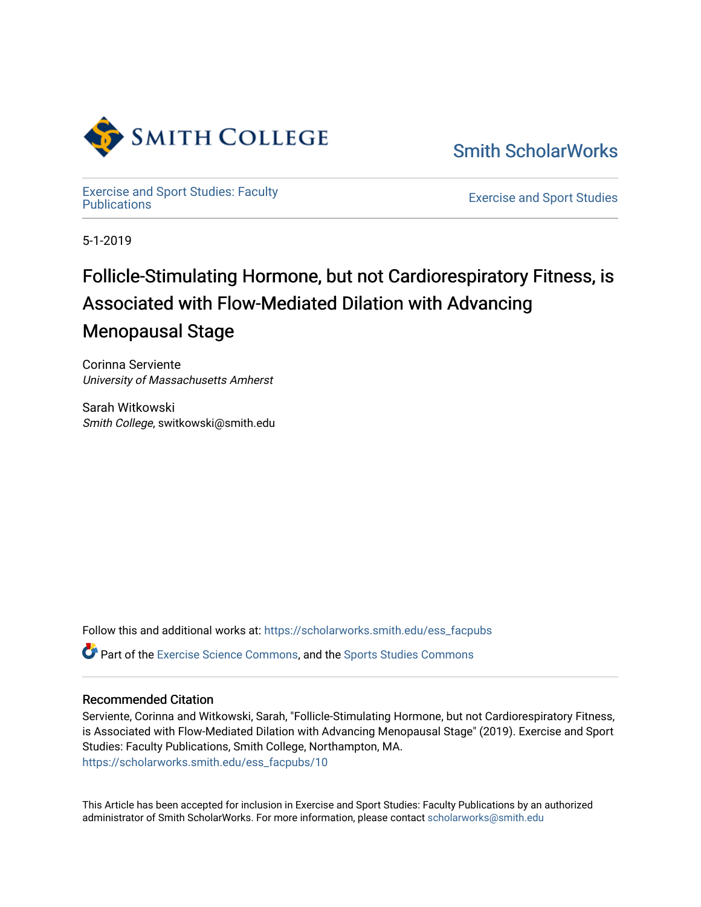

[Smith ScholarWorks](https://scholarworks.smith.edu/) 

[Exercise and Sport Studies: Faculty](https://scholarworks.smith.edu/ess_facpubs)

**Exercise and Sport Studies** 

5-1-2019

## Follicle-Stimulating Hormone, but not Cardiorespiratory Fitness, is Associated with Flow-Mediated Dilation with Advancing Menopausal Stage

Corinna Serviente University of Massachusetts Amherst

Sarah Witkowski Smith College, switkowski@smith.edu

Follow this and additional works at: [https://scholarworks.smith.edu/ess\\_facpubs](https://scholarworks.smith.edu/ess_facpubs?utm_source=scholarworks.smith.edu%2Fess_facpubs%2F10&utm_medium=PDF&utm_campaign=PDFCoverPages)

**P** Part of the [Exercise Science Commons](http://network.bepress.com/hgg/discipline/1091?utm_source=scholarworks.smith.edu%2Fess_facpubs%2F10&utm_medium=PDF&utm_campaign=PDFCoverPages), and the [Sports Studies Commons](http://network.bepress.com/hgg/discipline/1198?utm_source=scholarworks.smith.edu%2Fess_facpubs%2F10&utm_medium=PDF&utm_campaign=PDFCoverPages)

### Recommended Citation

Serviente, Corinna and Witkowski, Sarah, "Follicle-Stimulating Hormone, but not Cardiorespiratory Fitness, is Associated with Flow-Mediated Dilation with Advancing Menopausal Stage" (2019). Exercise and Sport Studies: Faculty Publications, Smith College, Northampton, MA. [https://scholarworks.smith.edu/ess\\_facpubs/10](https://scholarworks.smith.edu/ess_facpubs/10?utm_source=scholarworks.smith.edu%2Fess_facpubs%2F10&utm_medium=PDF&utm_campaign=PDFCoverPages) 

This Article has been accepted for inclusion in Exercise and Sport Studies: Faculty Publications by an authorized administrator of Smith ScholarWorks. For more information, please contact [scholarworks@smith.edu](mailto:scholarworks@smith.edu)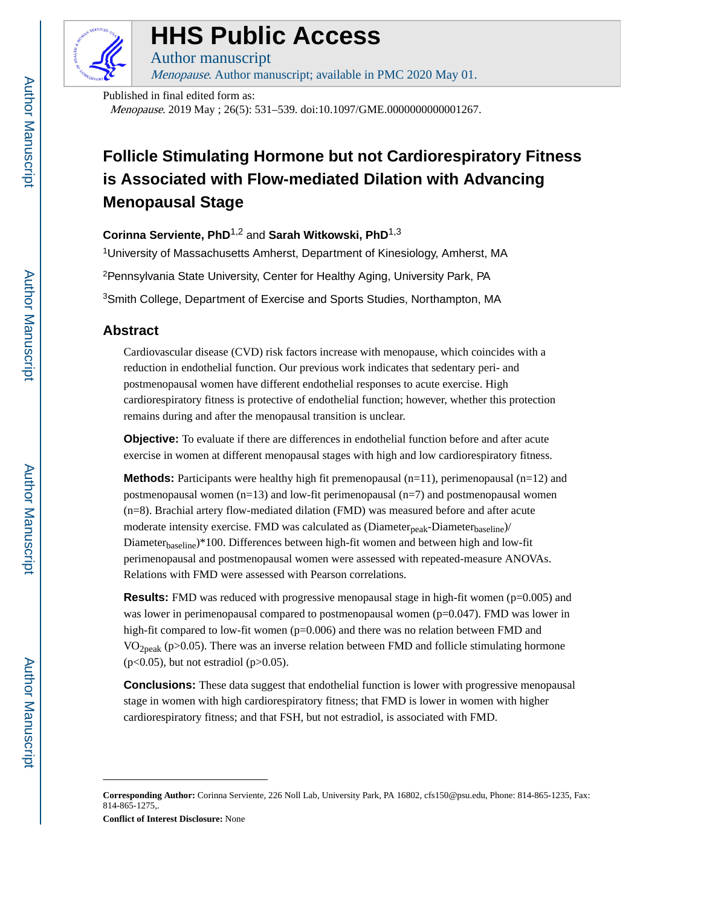

# **HHS Public Access**

Author manuscript Menopause. Author manuscript; available in PMC 2020 May 01.

Published in final edited form as: Menopause. 2019 May ; 26(5): 531–539. doi:10.1097/GME.0000000000001267.

## **Follicle Stimulating Hormone but not Cardiorespiratory Fitness is Associated with Flow-mediated Dilation with Advancing Menopausal Stage**

**Corinna Serviente, PhD**1,2 and **Sarah Witkowski, PhD**1,3

<sup>1</sup>University of Massachusetts Amherst, Department of Kinesiology, Amherst, MA <sup>2</sup>Pennsylvania State University, Center for Healthy Aging, University Park, PA <sup>3</sup>Smith College, Department of Exercise and Sports Studies, Northampton, MA

## **Abstract**

Cardiovascular disease (CVD) risk factors increase with menopause, which coincides with a reduction in endothelial function. Our previous work indicates that sedentary peri- and postmenopausal women have different endothelial responses to acute exercise. High cardiorespiratory fitness is protective of endothelial function; however, whether this protection remains during and after the menopausal transition is unclear.

**Objective:** To evaluate if there are differences in endothelial function before and after acute exercise in women at different menopausal stages with high and low cardiorespiratory fitness.

**Methods:** Participants were healthy high fit premenopausal  $(n=11)$ , perimenopausal  $(n=12)$  and postmenopausal women (n=13) and low-fit perimenopausal (n=7) and postmenopausal women (n=8). Brachial artery flow-mediated dilation (FMD) was measured before and after acute moderate intensity exercise. FMD was calculated as (Diameter<sub>peak</sub>-Diameter<sub>baseline</sub>)/ Diameter<sub>baseline</sub>)\*100. Differences between high-fit women and between high and low-fit perimenopausal and postmenopausal women were assessed with repeated-measure ANOVAs. Relations with FMD were assessed with Pearson correlations.

**Results:** FMD was reduced with progressive menopausal stage in high-fit women (p=0.005) and was lower in perimenopausal compared to postmenopausal women  $(p=0.047)$ . FMD was lower in high-fit compared to low-fit women (p=0.006) and there was no relation between FMD and  $VO<sub>2peak</sub>$  (p>0.05). There was an inverse relation between FMD and follicle stimulating hormone  $(p<0.05)$ , but not estradiol  $(p>0.05)$ .

**Conclusions:** These data suggest that endothelial function is lower with progressive menopausal stage in women with high cardiorespiratory fitness; that FMD is lower in women with higher cardiorespiratory fitness; and that FSH, but not estradiol, is associated with FMD.

**Conflict of Interest Disclosure:** None

**Corresponding Author:** Corinna Serviente, 226 Noll Lab, University Park, PA 16802, cfs150@psu.edu, Phone: 814-865-1235, Fax: 814-865-1275,.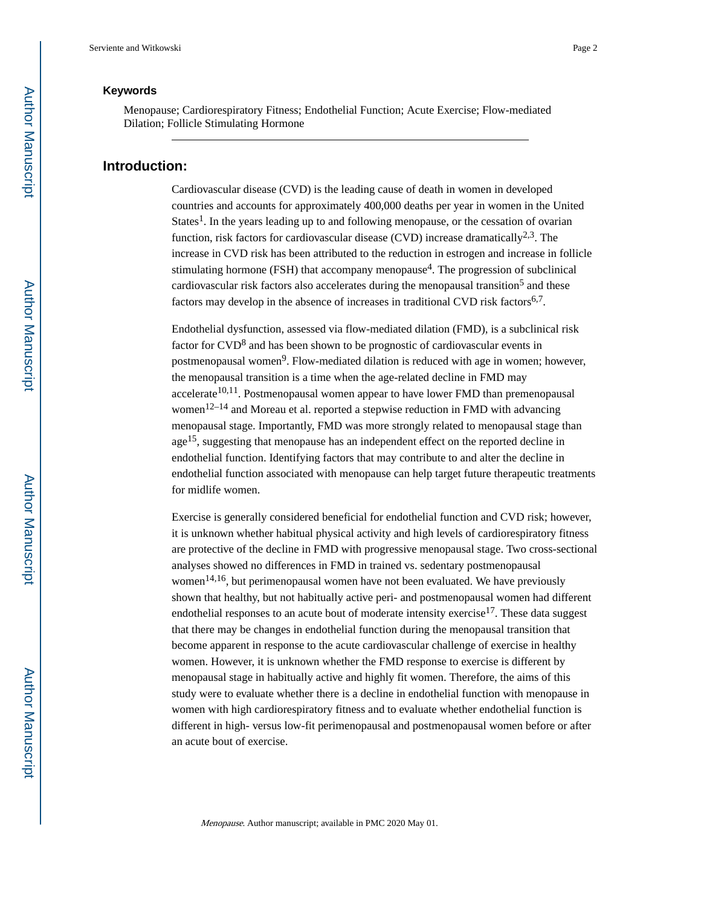#### **Keywords**

Menopause; Cardiorespiratory Fitness; Endothelial Function; Acute Exercise; Flow-mediated Dilation; Follicle Stimulating Hormone

## **Introduction:**

Cardiovascular disease (CVD) is the leading cause of death in women in developed countries and accounts for approximately 400,000 deaths per year in women in the United States<sup>1</sup>. In the years leading up to and following menopause, or the cessation of ovarian function, risk factors for cardiovascular disease (CVD) increase dramatically<sup>2,3</sup>. The increase in CVD risk has been attributed to the reduction in estrogen and increase in follicle stimulating hormone (FSH) that accompany menopause<sup>4</sup>. The progression of subclinical cardiovascular risk factors also accelerates during the menopausal transition<sup>5</sup> and these factors may develop in the absence of increases in traditional CVD risk factors $6,7$ .

Endothelial dysfunction, assessed via flow-mediated dilation (FMD), is a subclinical risk factor for CVD<sup>8</sup> and has been shown to be prognostic of cardiovascular events in postmenopausal women<sup>9</sup>. Flow-mediated dilation is reduced with age in women; however, the menopausal transition is a time when the age-related decline in FMD may  $accelerate<sup>10,11</sup>$ . Postmenopausal women appear to have lower FMD than premenopausal women<sup>12–14</sup> and Moreau et al. reported a stepwise reduction in FMD with advancing menopausal stage. Importantly, FMD was more strongly related to menopausal stage than age15, suggesting that menopause has an independent effect on the reported decline in endothelial function. Identifying factors that may contribute to and alter the decline in endothelial function associated with menopause can help target future therapeutic treatments for midlife women.

Exercise is generally considered beneficial for endothelial function and CVD risk; however, it is unknown whether habitual physical activity and high levels of cardiorespiratory fitness are protective of the decline in FMD with progressive menopausal stage. Two cross-sectional analyses showed no differences in FMD in trained vs. sedentary postmenopausal women<sup>14,16</sup>, but perimenopausal women have not been evaluated. We have previously shown that healthy, but not habitually active peri- and postmenopausal women had different endothelial responses to an acute bout of moderate intensity exercise<sup>17</sup>. These data suggest that there may be changes in endothelial function during the menopausal transition that become apparent in response to the acute cardiovascular challenge of exercise in healthy women. However, it is unknown whether the FMD response to exercise is different by menopausal stage in habitually active and highly fit women. Therefore, the aims of this study were to evaluate whether there is a decline in endothelial function with menopause in women with high cardiorespiratory fitness and to evaluate whether endothelial function is different in high- versus low-fit perimenopausal and postmenopausal women before or after an acute bout of exercise.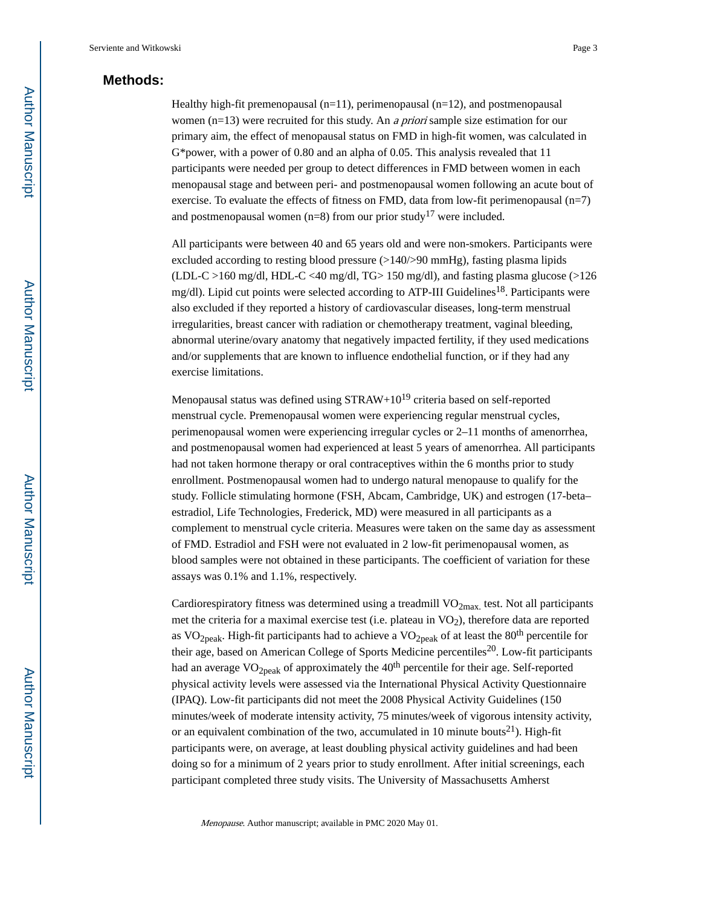## **Methods:**

Healthy high-fit premenopausal  $(n=11)$ , perimenopausal  $(n=12)$ , and postmenopausal women (n=13) were recruited for this study. An *a priori* sample size estimation for our primary aim, the effect of menopausal status on FMD in high-fit women, was calculated in G\*power, with a power of 0.80 and an alpha of 0.05. This analysis revealed that 11 participants were needed per group to detect differences in FMD between women in each menopausal stage and between peri- and postmenopausal women following an acute bout of exercise. To evaluate the effects of fitness on FMD, data from low-fit perimenopausal (n=7) and postmenopausal women (n=8) from our prior study<sup>17</sup> were included.

All participants were between 40 and 65 years old and were non-smokers. Participants were excluded according to resting blood pressure  $(>140/>90 \text{ mmHg})$ , fasting plasma lipids (LDL-C >160 mg/dl, HDL-C <40 mg/dl, TG> 150 mg/dl), and fasting plasma glucose (>126 mg/dl). Lipid cut points were selected according to ATP-III Guidelines<sup>18</sup>. Participants were also excluded if they reported a history of cardiovascular diseases, long-term menstrual irregularities, breast cancer with radiation or chemotherapy treatment, vaginal bleeding, abnormal uterine/ovary anatomy that negatively impacted fertility, if they used medications and/or supplements that are known to influence endothelial function, or if they had any exercise limitations.

Menopausal status was defined using  $STRAW+10^{19}$  criteria based on self-reported menstrual cycle. Premenopausal women were experiencing regular menstrual cycles, perimenopausal women were experiencing irregular cycles or 2–11 months of amenorrhea, and postmenopausal women had experienced at least 5 years of amenorrhea. All participants had not taken hormone therapy or oral contraceptives within the 6 months prior to study enrollment. Postmenopausal women had to undergo natural menopause to qualify for the study. Follicle stimulating hormone (FSH, Abcam, Cambridge, UK) and estrogen (17-beta– estradiol, Life Technologies, Frederick, MD) were measured in all participants as a complement to menstrual cycle criteria. Measures were taken on the same day as assessment of FMD. Estradiol and FSH were not evaluated in 2 low-fit perimenopausal women, as blood samples were not obtained in these participants. The coefficient of variation for these assays was 0.1% and 1.1%, respectively.

Cardiorespiratory fitness was determined using a treadmill  $VO<sub>2max</sub>$  test. Not all participants met the criteria for a maximal exercise test (i.e. plateau in VO<sub>2</sub>), therefore data are reported as VO<sub>2peak</sub>. High-fit participants had to achieve a VO<sub>2peak</sub> of at least the 80<sup>th</sup> percentile for their age, based on American College of Sports Medicine percentiles<sup>20</sup>. Low-fit participants had an average  $VO<sub>2peak</sub>$  of approximately the  $40<sup>th</sup>$  percentile for their age. Self-reported physical activity levels were assessed via the International Physical Activity Questionnaire (IPAQ). Low-fit participants did not meet the 2008 Physical Activity Guidelines (150 minutes/week of moderate intensity activity, 75 minutes/week of vigorous intensity activity, or an equivalent combination of the two, accumulated in 10 minute bouts<sup>21</sup>). High-fit participants were, on average, at least doubling physical activity guidelines and had been doing so for a minimum of 2 years prior to study enrollment. After initial screenings, each participant completed three study visits. The University of Massachusetts Amherst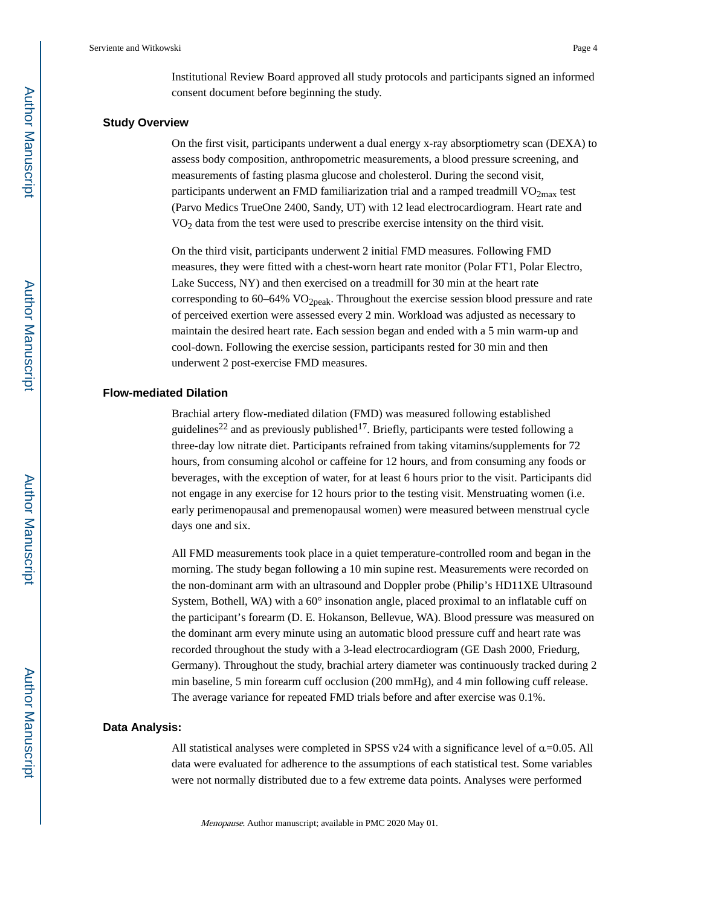Institutional Review Board approved all study protocols and participants signed an informed consent document before beginning the study.

#### **Study Overview**

On the first visit, participants underwent a dual energy x-ray absorptiometry scan (DEXA) to assess body composition, anthropometric measurements, a blood pressure screening, and measurements of fasting plasma glucose and cholesterol. During the second visit, participants underwent an FMD familiarization trial and a ramped treadmill  $VO<sub>2max</sub>$  test (Parvo Medics TrueOne 2400, Sandy, UT) with 12 lead electrocardiogram. Heart rate and VO2 data from the test were used to prescribe exercise intensity on the third visit.

On the third visit, participants underwent 2 initial FMD measures. Following FMD measures, they were fitted with a chest-worn heart rate monitor (Polar FT1, Polar Electro, Lake Success, NY) and then exercised on a treadmill for 30 min at the heart rate corresponding to  $60-64\%$  VO<sub>2peak</sub>. Throughout the exercise session blood pressure and rate of perceived exertion were assessed every 2 min. Workload was adjusted as necessary to maintain the desired heart rate. Each session began and ended with a 5 min warm-up and cool-down. Following the exercise session, participants rested for 30 min and then underwent 2 post-exercise FMD measures.

#### **Flow-mediated Dilation**

Brachial artery flow-mediated dilation (FMD) was measured following established guidelines<sup>22</sup> and as previously published<sup>17</sup>. Briefly, participants were tested following a three-day low nitrate diet. Participants refrained from taking vitamins/supplements for 72 hours, from consuming alcohol or caffeine for 12 hours, and from consuming any foods or beverages, with the exception of water, for at least 6 hours prior to the visit. Participants did not engage in any exercise for 12 hours prior to the testing visit. Menstruating women (i.e. early perimenopausal and premenopausal women) were measured between menstrual cycle days one and six.

All FMD measurements took place in a quiet temperature-controlled room and began in the morning. The study began following a 10 min supine rest. Measurements were recorded on the non-dominant arm with an ultrasound and Doppler probe (Philip's HD11XE Ultrasound System, Bothell, WA) with a 60° insonation angle, placed proximal to an inflatable cuff on the participant's forearm (D. E. Hokanson, Bellevue, WA). Blood pressure was measured on the dominant arm every minute using an automatic blood pressure cuff and heart rate was recorded throughout the study with a 3-lead electrocardiogram (GE Dash 2000, Friedurg, Germany). Throughout the study, brachial artery diameter was continuously tracked during 2 min baseline, 5 min forearm cuff occlusion (200 mmHg), and 4 min following cuff release. The average variance for repeated FMD trials before and after exercise was 0.1%.

#### **Data Analysis:**

All statistical analyses were completed in SPSS v24 with a significance level of  $\alpha$ =0.05. All data were evaluated for adherence to the assumptions of each statistical test. Some variables were not normally distributed due to a few extreme data points. Analyses were performed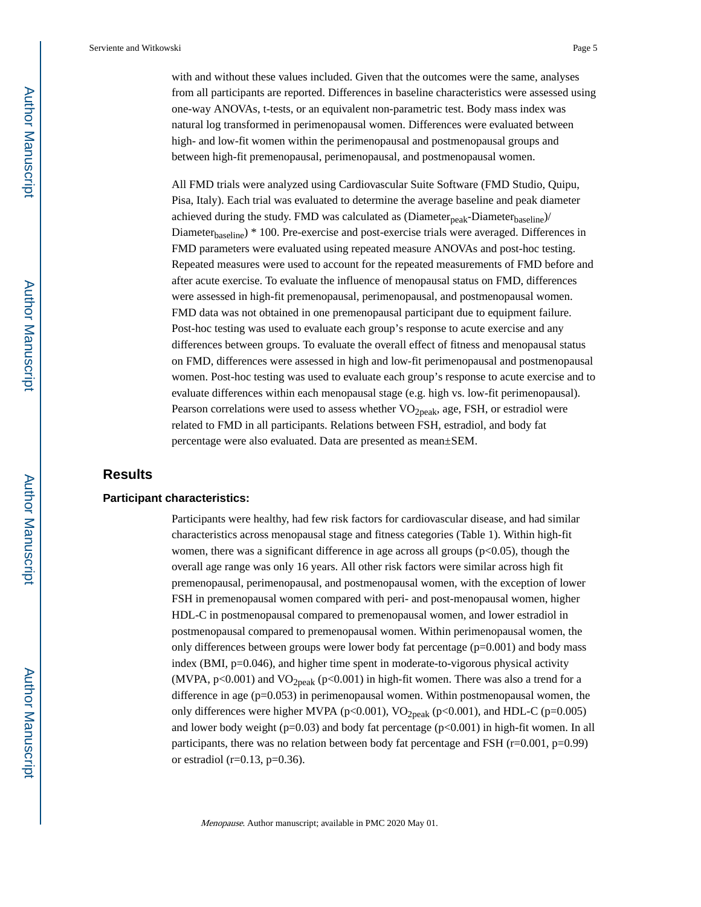with and without these values included. Given that the outcomes were the same, analyses from all participants are reported. Differences in baseline characteristics were assessed using one-way ANOVAs, t-tests, or an equivalent non-parametric test. Body mass index was natural log transformed in perimenopausal women. Differences were evaluated between high- and low-fit women within the perimenopausal and postmenopausal groups and between high-fit premenopausal, perimenopausal, and postmenopausal women.

All FMD trials were analyzed using Cardiovascular Suite Software (FMD Studio, Quipu, Pisa, Italy). Each trial was evaluated to determine the average baseline and peak diameter achieved during the study. FMD was calculated as  $(Diameter_{peak}-Diameter_{baseline})/$ Diameter<sub>baseline</sub>) \* 100. Pre-exercise and post-exercise trials were averaged. Differences in FMD parameters were evaluated using repeated measure ANOVAs and post-hoc testing. Repeated measures were used to account for the repeated measurements of FMD before and after acute exercise. To evaluate the influence of menopausal status on FMD, differences were assessed in high-fit premenopausal, perimenopausal, and postmenopausal women. FMD data was not obtained in one premenopausal participant due to equipment failure. Post-hoc testing was used to evaluate each group's response to acute exercise and any differences between groups. To evaluate the overall effect of fitness and menopausal status on FMD, differences were assessed in high and low-fit perimenopausal and postmenopausal women. Post-hoc testing was used to evaluate each group's response to acute exercise and to evaluate differences within each menopausal stage (e.g. high vs. low-fit perimenopausal). Pearson correlations were used to assess whether  $VO<sub>2peak</sub>$ , age, FSH, or estradiol were related to FMD in all participants. Relations between FSH, estradiol, and body fat percentage were also evaluated. Data are presented as mean±SEM.

## **Results**

#### **Participant characteristics:**

Participants were healthy, had few risk factors for cardiovascular disease, and had similar characteristics across menopausal stage and fitness categories (Table 1). Within high-fit women, there was a significant difference in age across all groups  $(p<0.05)$ , though the overall age range was only 16 years. All other risk factors were similar across high fit premenopausal, perimenopausal, and postmenopausal women, with the exception of lower FSH in premenopausal women compared with peri- and post-menopausal women, higher HDL-C in postmenopausal compared to premenopausal women, and lower estradiol in postmenopausal compared to premenopausal women. Within perimenopausal women, the only differences between groups were lower body fat percentage (p=0.001) and body mass index (BMI, p=0.046), and higher time spent in moderate-to-vigorous physical activity (MVPA,  $p<0.001$ ) and VO<sub>2peak</sub> ( $p<0.001$ ) in high-fit women. There was also a trend for a difference in age (p=0.053) in perimenopausal women. Within postmenopausal women, the only differences were higher MVPA ( $p<0.001$ ), VO<sub>2peak</sub> ( $p<0.001$ ), and HDL-C ( $p=0.005$ ) and lower body weight ( $p=0.03$ ) and body fat percentage ( $p<0.001$ ) in high-fit women. In all participants, there was no relation between body fat percentage and FSH  $(r=0.001, p=0.99)$ or estradiol ( $r=0.13$ ,  $p=0.36$ ).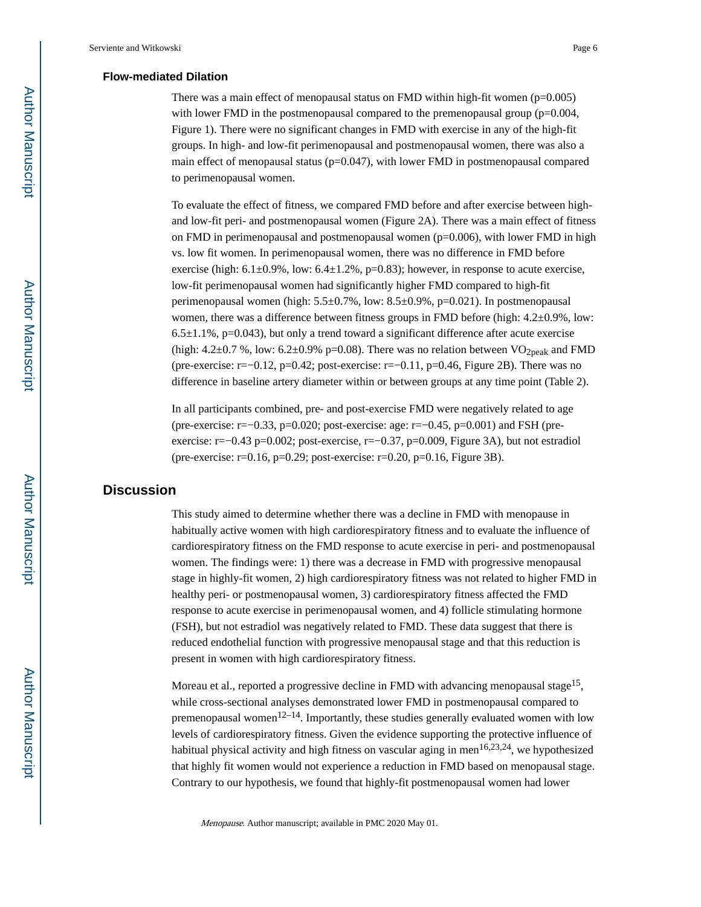#### **Flow-mediated Dilation**

There was a main effect of menopausal status on FMD within high-fit women  $(p=0.005)$ with lower FMD in the postmenopausal compared to the premenopausal group (p=0.004, Figure 1). There were no significant changes in FMD with exercise in any of the high-fit groups. In high- and low-fit perimenopausal and postmenopausal women, there was also a main effect of menopausal status ( $p=0.047$ ), with lower FMD in postmenopausal compared to perimenopausal women.

To evaluate the effect of fitness, we compared FMD before and after exercise between highand low-fit peri- and postmenopausal women (Figure 2A). There was a main effect of fitness on FMD in perimenopausal and postmenopausal women  $(p=0.006)$ , with lower FMD in high vs. low fit women. In perimenopausal women, there was no difference in FMD before exercise (high:  $6.1\pm0.9\%$ , low:  $6.4\pm1.2\%$ , p=0.83); however, in response to acute exercise, low-fit perimenopausal women had significantly higher FMD compared to high-fit perimenopausal women (high: 5.5±0.7%, low: 8.5±0.9%, p=0.021). In postmenopausal women, there was a difference between fitness groups in FMD before (high:  $4.2\pm0.9\%$ , low:  $6.5\pm1.1\%$ , p=0.043), but only a trend toward a significant difference after acute exercise (high:  $4.2\pm0.7$  %, low:  $6.2\pm0.9\%$  p=0.08). There was no relation between VO<sub>2peak</sub> and FMD (pre-exercise: r=−0.12, p=0.42; post-exercise: r=−0.11, p=0.46, Figure 2B). There was no difference in baseline artery diameter within or between groups at any time point (Table 2).

In all participants combined, pre- and post-exercise FMD were negatively related to age (pre-exercise: r=−0.33, p=0.020; post-exercise: age: r=−0.45, p=0.001) and FSH (preexercise: r=−0.43 p=0.002; post-exercise, r=−0.37, p=0.009, Figure 3A), but not estradiol (pre-exercise: r=0.16, p=0.29; post-exercise: r=0.20, p=0.16, Figure 3B).

### **Discussion**

This study aimed to determine whether there was a decline in FMD with menopause in habitually active women with high cardiorespiratory fitness and to evaluate the influence of cardiorespiratory fitness on the FMD response to acute exercise in peri- and postmenopausal women. The findings were: 1) there was a decrease in FMD with progressive menopausal stage in highly-fit women, 2) high cardiorespiratory fitness was not related to higher FMD in healthy peri- or postmenopausal women, 3) cardiorespiratory fitness affected the FMD response to acute exercise in perimenopausal women, and 4) follicle stimulating hormone (FSH), but not estradiol was negatively related to FMD. These data suggest that there is reduced endothelial function with progressive menopausal stage and that this reduction is present in women with high cardiorespiratory fitness.

Moreau et al., reported a progressive decline in FMD with advancing menopausal stage<sup>15</sup>, while cross-sectional analyses demonstrated lower FMD in postmenopausal compared to premenopausal women<sup>12–14</sup>. Importantly, these studies generally evaluated women with low levels of cardiorespiratory fitness. Given the evidence supporting the protective influence of habitual physical activity and high fitness on vascular aging in men<sup>16,23,24</sup>, we hypothesized that highly fit women would not experience a reduction in FMD based on menopausal stage. Contrary to our hypothesis, we found that highly-fit postmenopausal women had lower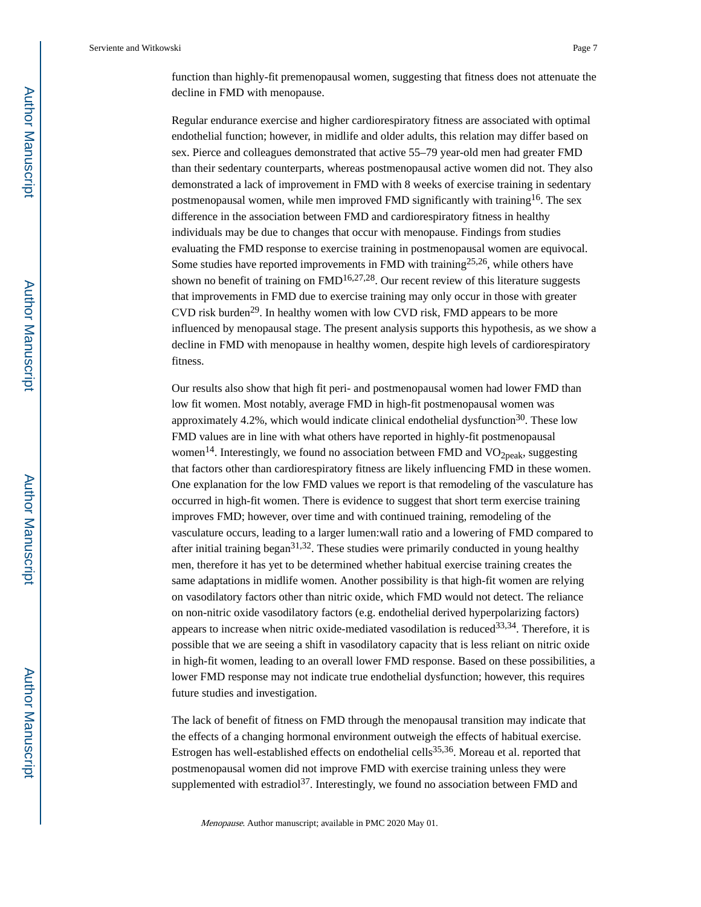function than highly-fit premenopausal women, suggesting that fitness does not attenuate the decline in FMD with menopause.

Regular endurance exercise and higher cardiorespiratory fitness are associated with optimal endothelial function; however, in midlife and older adults, this relation may differ based on sex. Pierce and colleagues demonstrated that active 55–79 year-old men had greater FMD than their sedentary counterparts, whereas postmenopausal active women did not. They also demonstrated a lack of improvement in FMD with 8 weeks of exercise training in sedentary postmenopausal women, while men improved FMD significantly with training<sup>16</sup>. The sex difference in the association between FMD and cardiorespiratory fitness in healthy individuals may be due to changes that occur with menopause. Findings from studies evaluating the FMD response to exercise training in postmenopausal women are equivocal. Some studies have reported improvements in FMD with training<sup>25,26</sup>, while others have shown no benefit of training on  $FMD<sup>16,27,28</sup>$ . Our recent review of this literature suggests that improvements in FMD due to exercise training may only occur in those with greater CVD risk burden<sup>29</sup>. In healthy women with low CVD risk, FMD appears to be more influenced by menopausal stage. The present analysis supports this hypothesis, as we show a decline in FMD with menopause in healthy women, despite high levels of cardiorespiratory fitness.

Our results also show that high fit peri- and postmenopausal women had lower FMD than low fit women. Most notably, average FMD in high-fit postmenopausal women was approximately 4.2%, which would indicate clinical endothelial dysfunction $30$ . These low FMD values are in line with what others have reported in highly-fit postmenopausal women<sup>14</sup>. Interestingly, we found no association between FMD and  $VO<sub>2peak</sub>$ , suggesting that factors other than cardiorespiratory fitness are likely influencing FMD in these women. One explanation for the low FMD values we report is that remodeling of the vasculature has occurred in high-fit women. There is evidence to suggest that short term exercise training improves FMD; however, over time and with continued training, remodeling of the vasculature occurs, leading to a larger lumen:wall ratio and a lowering of FMD compared to after initial training began<sup>31,32</sup>. These studies were primarily conducted in young healthy men, therefore it has yet to be determined whether habitual exercise training creates the same adaptations in midlife women. Another possibility is that high-fit women are relying on vasodilatory factors other than nitric oxide, which FMD would not detect. The reliance on non-nitric oxide vasodilatory factors (e.g. endothelial derived hyperpolarizing factors) appears to increase when nitric oxide-mediated vasodilation is reduced  $33,34$ . Therefore, it is possible that we are seeing a shift in vasodilatory capacity that is less reliant on nitric oxide in high-fit women, leading to an overall lower FMD response. Based on these possibilities, a lower FMD response may not indicate true endothelial dysfunction; however, this requires future studies and investigation.

The lack of benefit of fitness on FMD through the menopausal transition may indicate that the effects of a changing hormonal environment outweigh the effects of habitual exercise. Estrogen has well-established effects on endothelial cells<sup>35,36</sup>. Moreau et al. reported that postmenopausal women did not improve FMD with exercise training unless they were supplemented with estradiol<sup>37</sup>. Interestingly, we found no association between FMD and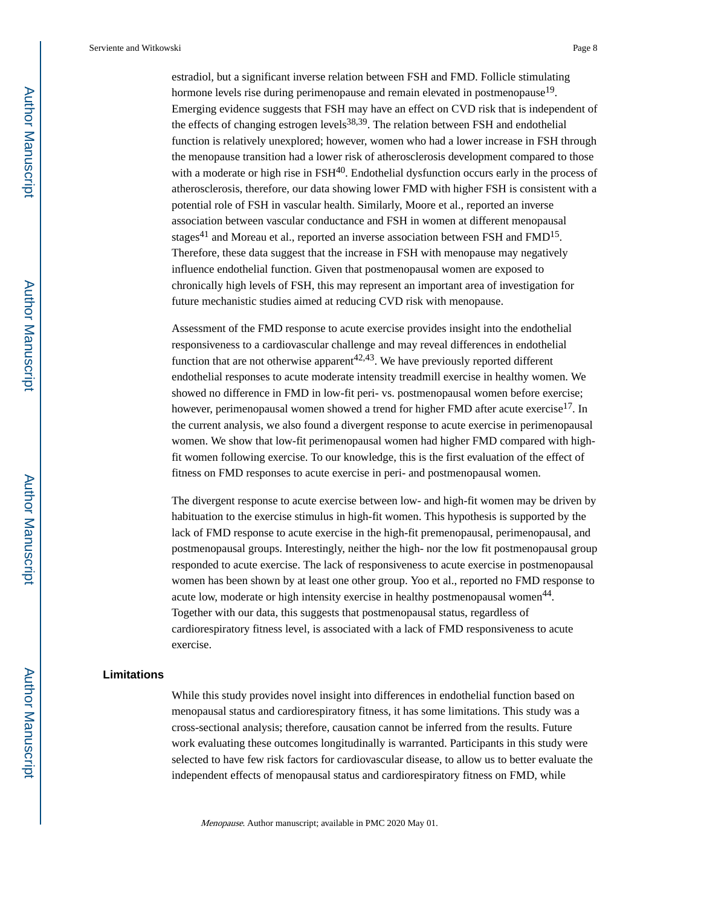estradiol, but a significant inverse relation between FSH and FMD. Follicle stimulating hormone levels rise during perimenopause and remain elevated in postmenopause<sup>19</sup>. Emerging evidence suggests that FSH may have an effect on CVD risk that is independent of the effects of changing estrogen levels $38,39$ . The relation between FSH and endothelial function is relatively unexplored; however, women who had a lower increase in FSH through the menopause transition had a lower risk of atherosclerosis development compared to those with a moderate or high rise in  $FSH<sup>40</sup>$ . Endothelial dysfunction occurs early in the process of atherosclerosis, therefore, our data showing lower FMD with higher FSH is consistent with a potential role of FSH in vascular health. Similarly, Moore et al., reported an inverse association between vascular conductance and FSH in women at different menopausal stages<sup>41</sup> and Moreau et al., reported an inverse association between FSH and FMD<sup>15</sup>. Therefore, these data suggest that the increase in FSH with menopause may negatively influence endothelial function. Given that postmenopausal women are exposed to chronically high levels of FSH, this may represent an important area of investigation for future mechanistic studies aimed at reducing CVD risk with menopause.

Assessment of the FMD response to acute exercise provides insight into the endothelial responsiveness to a cardiovascular challenge and may reveal differences in endothelial function that are not otherwise apparent<sup>42,43</sup>. We have previously reported different endothelial responses to acute moderate intensity treadmill exercise in healthy women. We showed no difference in FMD in low-fit peri- vs. postmenopausal women before exercise; however, perimenopausal women showed a trend for higher FMD after acute exercise<sup>17</sup>. In the current analysis, we also found a divergent response to acute exercise in perimenopausal women. We show that low-fit perimenopausal women had higher FMD compared with highfit women following exercise. To our knowledge, this is the first evaluation of the effect of fitness on FMD responses to acute exercise in peri- and postmenopausal women.

The divergent response to acute exercise between low- and high-fit women may be driven by habituation to the exercise stimulus in high-fit women. This hypothesis is supported by the lack of FMD response to acute exercise in the high-fit premenopausal, perimenopausal, and postmenopausal groups. Interestingly, neither the high- nor the low fit postmenopausal group responded to acute exercise. The lack of responsiveness to acute exercise in postmenopausal women has been shown by at least one other group. Yoo et al., reported no FMD response to acute low, moderate or high intensity exercise in healthy postmenopausal women<sup>44</sup>. Together with our data, this suggests that postmenopausal status, regardless of cardiorespiratory fitness level, is associated with a lack of FMD responsiveness to acute exercise.

#### **Limitations**

While this study provides novel insight into differences in endothelial function based on menopausal status and cardiorespiratory fitness, it has some limitations. This study was a cross-sectional analysis; therefore, causation cannot be inferred from the results. Future work evaluating these outcomes longitudinally is warranted. Participants in this study were selected to have few risk factors for cardiovascular disease, to allow us to better evaluate the independent effects of menopausal status and cardiorespiratory fitness on FMD, while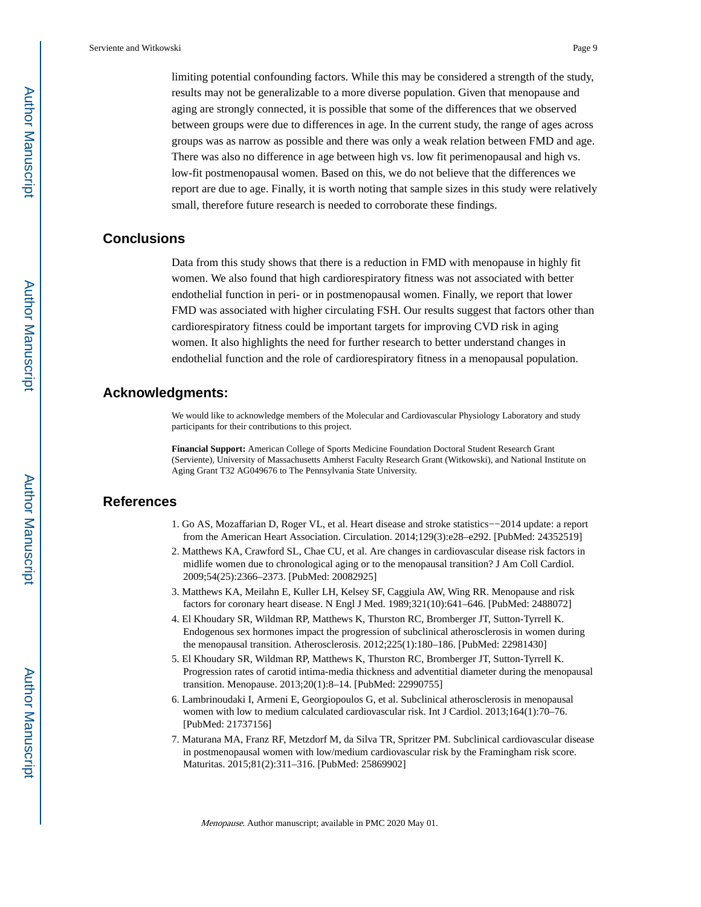limiting potential confounding factors. While this may be considered a strength of the study, results may not be generalizable to a more diverse population. Given that menopause and aging are strongly connected, it is possible that some of the differences that we observed between groups were due to differences in age. In the current study, the range of ages across groups was as narrow as possible and there was only a weak relation between FMD and age. There was also no difference in age between high vs. low fit perimenopausal and high vs. low-fit postmenopausal women. Based on this, we do not believe that the differences we report are due to age. Finally, it is worth noting that sample sizes in this study were relatively small, therefore future research is needed to corroborate these findings.

#### **Conclusions**

Data from this study shows that there is a reduction in FMD with menopause in highly fit women. We also found that high cardiorespiratory fitness was not associated with better endothelial function in peri- or in postmenopausal women. Finally, we report that lower FMD was associated with higher circulating FSH. Our results suggest that factors other than cardiorespiratory fitness could be important targets for improving CVD risk in aging women. It also highlights the need for further research to better understand changes in endothelial function and the role of cardiorespiratory fitness in a menopausal population.

#### **Acknowledgments:**

We would like to acknowledge members of the Molecular and Cardiovascular Physiology Laboratory and study participants for their contributions to this project.

**Financial Support:** American College of Sports Medicine Foundation Doctoral Student Research Grant (Serviente), University of Massachusetts Amherst Faculty Research Grant (Witkowski), and National Institute on Aging Grant T32 AG049676 to The Pennsylvania State University.

#### **References**

- 1. Go AS, Mozaffarian D, Roger VL, et al. Heart disease and stroke statistics−−2014 update: a report from the American Heart Association. Circulation. 2014;129(3):e28–e292. [PubMed: 24352519]
- 2. Matthews KA, Crawford SL, Chae CU, et al. Are changes in cardiovascular disease risk factors in midlife women due to chronological aging or to the menopausal transition? J Am Coll Cardiol. 2009;54(25):2366–2373. [PubMed: 20082925]
- 3. Matthews KA, Meilahn E, Kuller LH, Kelsey SF, Caggiula AW, Wing RR. Menopause and risk factors for coronary heart disease. N Engl J Med. 1989;321(10):641–646. [PubMed: 2488072]
- 4. El Khoudary SR, Wildman RP, Matthews K, Thurston RC, Bromberger JT, Sutton-Tyrrell K. Endogenous sex hormones impact the progression of subclinical atherosclerosis in women during the menopausal transition. Atherosclerosis. 2012;225(1):180–186. [PubMed: 22981430]
- 5. El Khoudary SR, Wildman RP, Matthews K, Thurston RC, Bromberger JT, Sutton-Tyrrell K. Progression rates of carotid intima-media thickness and adventitial diameter during the menopausal transition. Menopause. 2013;20(1):8–14. [PubMed: 22990755]
- 6. Lambrinoudaki I, Armeni E, Georgiopoulos G, et al. Subclinical atherosclerosis in menopausal women with low to medium calculated cardiovascular risk. Int J Cardiol. 2013;164(1):70–76. [PubMed: 21737156]
- 7. Maturana MA, Franz RF, Metzdorf M, da Silva TR, Spritzer PM. Subclinical cardiovascular disease in postmenopausal women with low/medium cardiovascular risk by the Framingham risk score. Maturitas. 2015;81(2):311–316. [PubMed: 25869902]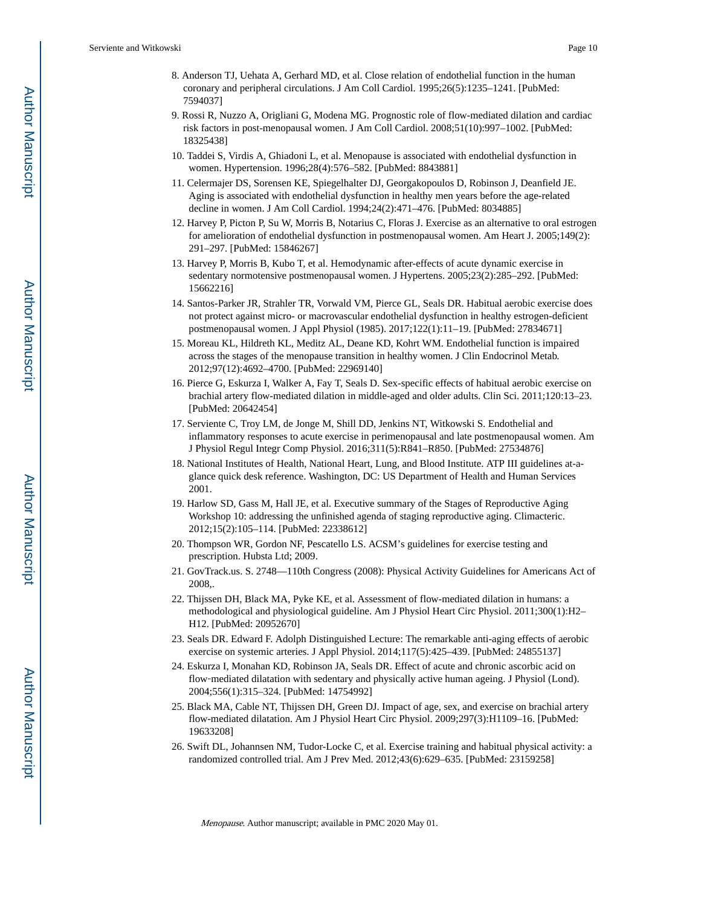- 8. Anderson TJ, Uehata A, Gerhard MD, et al. Close relation of endothelial function in the human coronary and peripheral circulations. J Am Coll Cardiol. 1995;26(5):1235–1241. [PubMed: 7594037]
- 9. Rossi R, Nuzzo A, Origliani G, Modena MG. Prognostic role of flow-mediated dilation and cardiac risk factors in post-menopausal women. J Am Coll Cardiol. 2008;51(10):997–1002. [PubMed: 18325438]
- 10. Taddei S, Virdis A, Ghiadoni L, et al. Menopause is associated with endothelial dysfunction in women. Hypertension. 1996;28(4):576–582. [PubMed: 8843881]
- 11. Celermajer DS, Sorensen KE, Spiegelhalter DJ, Georgakopoulos D, Robinson J, Deanfield JE. Aging is associated with endothelial dysfunction in healthy men years before the age-related decline in women. J Am Coll Cardiol. 1994;24(2):471–476. [PubMed: 8034885]
- 12. Harvey P, Picton P, Su W, Morris B, Notarius C, Floras J. Exercise as an alternative to oral estrogen for amelioration of endothelial dysfunction in postmenopausal women. Am Heart J. 2005;149(2): 291–297. [PubMed: 15846267]
- 13. Harvey P, Morris B, Kubo T, et al. Hemodynamic after-effects of acute dynamic exercise in sedentary normotensive postmenopausal women. J Hypertens. 2005;23(2):285–292. [PubMed: 15662216]
- 14. Santos-Parker JR, Strahler TR, Vorwald VM, Pierce GL, Seals DR. Habitual aerobic exercise does not protect against micro- or macrovascular endothelial dysfunction in healthy estrogen-deficient postmenopausal women. J Appl Physiol (1985). 2017;122(1):11–19. [PubMed: 27834671]
- 15. Moreau KL, Hildreth KL, Meditz AL, Deane KD, Kohrt WM. Endothelial function is impaired across the stages of the menopause transition in healthy women. J Clin Endocrinol Metab. 2012;97(12):4692–4700. [PubMed: 22969140]
- 16. Pierce G, Eskurza I, Walker A, Fay T, Seals D. Sex-specific effects of habitual aerobic exercise on brachial artery flow-mediated dilation in middle-aged and older adults. Clin Sci. 2011;120:13–23. [PubMed: 20642454]
- 17. Serviente C, Troy LM, de Jonge M, Shill DD, Jenkins NT, Witkowski S. Endothelial and inflammatory responses to acute exercise in perimenopausal and late postmenopausal women. Am J Physiol Regul Integr Comp Physiol. 2016;311(5):R841–R850. [PubMed: 27534876]
- 18. National Institutes of Health, National Heart, Lung, and Blood Institute. ATP III guidelines at-aglance quick desk reference. Washington, DC: US Department of Health and Human Services 2001.
- 19. Harlow SD, Gass M, Hall JE, et al. Executive summary of the Stages of Reproductive Aging Workshop 10: addressing the unfinished agenda of staging reproductive aging. Climacteric. 2012;15(2):105–114. [PubMed: 22338612]
- 20. Thompson WR, Gordon NF, Pescatello LS. ACSM's guidelines for exercise testing and prescription. Hubsta Ltd; 2009.
- 21. GovTrack.us. S. 2748—110th Congress (2008): Physical Activity Guidelines for Americans Act of 2008,.
- 22. Thijssen DH, Black MA, Pyke KE, et al. Assessment of flow-mediated dilation in humans: a methodological and physiological guideline. Am J Physiol Heart Circ Physiol. 2011;300(1):H2– H12. [PubMed: 20952670]
- 23. Seals DR. Edward F. Adolph Distinguished Lecture: The remarkable anti-aging effects of aerobic exercise on systemic arteries. J Appl Physiol. 2014;117(5):425–439. [PubMed: 24855137]
- 24. Eskurza I, Monahan KD, Robinson JA, Seals DR. Effect of acute and chronic ascorbic acid on flow-mediated dilatation with sedentary and physically active human ageing. J Physiol (Lond). 2004;556(1):315–324. [PubMed: 14754992]
- 25. Black MA, Cable NT, Thijssen DH, Green DJ. Impact of age, sex, and exercise on brachial artery flow-mediated dilatation. Am J Physiol Heart Circ Physiol. 2009;297(3):H1109–16. [PubMed: 19633208]
- 26. Swift DL, Johannsen NM, Tudor-Locke C, et al. Exercise training and habitual physical activity: a randomized controlled trial. Am J Prev Med. 2012;43(6):629–635. [PubMed: 23159258]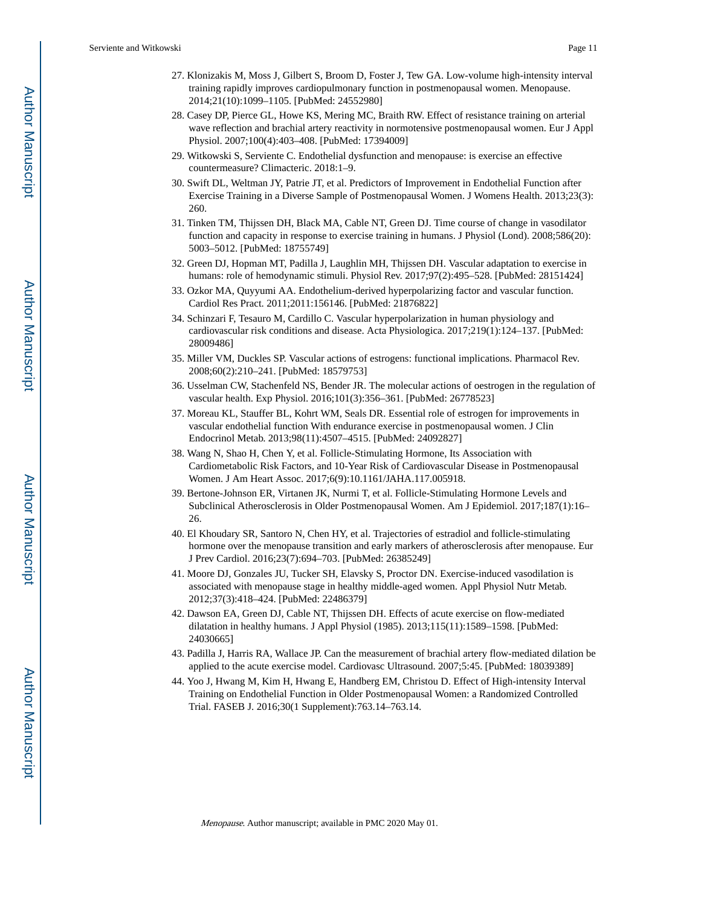- 27. Klonizakis M, Moss J, Gilbert S, Broom D, Foster J, Tew GA. Low-volume high-intensity interval training rapidly improves cardiopulmonary function in postmenopausal women. Menopause. 2014;21(10):1099–1105. [PubMed: 24552980]
- 28. Casey DP, Pierce GL, Howe KS, Mering MC, Braith RW. Effect of resistance training on arterial wave reflection and brachial artery reactivity in normotensive postmenopausal women. Eur J Appl Physiol. 2007;100(4):403–408. [PubMed: 17394009]
- 29. Witkowski S, Serviente C. Endothelial dysfunction and menopause: is exercise an effective countermeasure? Climacteric. 2018:1–9.
- 30. Swift DL, Weltman JY, Patrie JT, et al. Predictors of Improvement in Endothelial Function after Exercise Training in a Diverse Sample of Postmenopausal Women. J Womens Health. 2013;23(3): 260.
- 31. Tinken TM, Thijssen DH, Black MA, Cable NT, Green DJ. Time course of change in vasodilator function and capacity in response to exercise training in humans. J Physiol (Lond). 2008;586(20): 5003–5012. [PubMed: 18755749]
- 32. Green DJ, Hopman MT, Padilla J, Laughlin MH, Thijssen DH. Vascular adaptation to exercise in humans: role of hemodynamic stimuli. Physiol Rev. 2017;97(2):495–528. [PubMed: 28151424]
- 33. Ozkor MA, Quyyumi AA. Endothelium-derived hyperpolarizing factor and vascular function. Cardiol Res Pract. 2011;2011:156146. [PubMed: 21876822]
- 34. Schinzari F, Tesauro M, Cardillo C. Vascular hyperpolarization in human physiology and cardiovascular risk conditions and disease. Acta Physiologica. 2017;219(1):124–137. [PubMed: 28009486]
- 35. Miller VM, Duckles SP. Vascular actions of estrogens: functional implications. Pharmacol Rev. 2008;60(2):210–241. [PubMed: 18579753]
- 36. Usselman CW, Stachenfeld NS, Bender JR. The molecular actions of oestrogen in the regulation of vascular health. Exp Physiol. 2016;101(3):356–361. [PubMed: 26778523]
- 37. Moreau KL, Stauffer BL, Kohrt WM, Seals DR. Essential role of estrogen for improvements in vascular endothelial function With endurance exercise in postmenopausal women. J Clin Endocrinol Metab. 2013;98(11):4507–4515. [PubMed: 24092827]
- 38. Wang N, Shao H, Chen Y, et al. Follicle-Stimulating Hormone, Its Association with Cardiometabolic Risk Factors, and 10-Year Risk of Cardiovascular Disease in Postmenopausal Women. J Am Heart Assoc. 2017;6(9):10.1161/JAHA.117.005918.
- 39. Bertone-Johnson ER, Virtanen JK, Nurmi T, et al. Follicle-Stimulating Hormone Levels and Subclinical Atherosclerosis in Older Postmenopausal Women. Am J Epidemiol. 2017;187(1):16– 26.
- 40. El Khoudary SR, Santoro N, Chen HY, et al. Trajectories of estradiol and follicle-stimulating hormone over the menopause transition and early markers of atherosclerosis after menopause. Eur J Prev Cardiol. 2016;23(7):694–703. [PubMed: 26385249]
- 41. Moore DJ, Gonzales JU, Tucker SH, Elavsky S, Proctor DN. Exercise-induced vasodilation is associated with menopause stage in healthy middle-aged women. Appl Physiol Nutr Metab. 2012;37(3):418–424. [PubMed: 22486379]
- 42. Dawson EA, Green DJ, Cable NT, Thijssen DH. Effects of acute exercise on flow-mediated dilatation in healthy humans. J Appl Physiol (1985). 2013;115(11):1589–1598. [PubMed: 24030665]
- 43. Padilla J, Harris RA, Wallace JP. Can the measurement of brachial artery flow-mediated dilation be applied to the acute exercise model. Cardiovasc Ultrasound. 2007;5:45. [PubMed: 18039389]
- 44. Yoo J, Hwang M, Kim H, Hwang E, Handberg EM, Christou D. Effect of High-intensity Interval Training on Endothelial Function in Older Postmenopausal Women: a Randomized Controlled Trial. FASEB J. 2016;30(1 Supplement):763.14–763.14.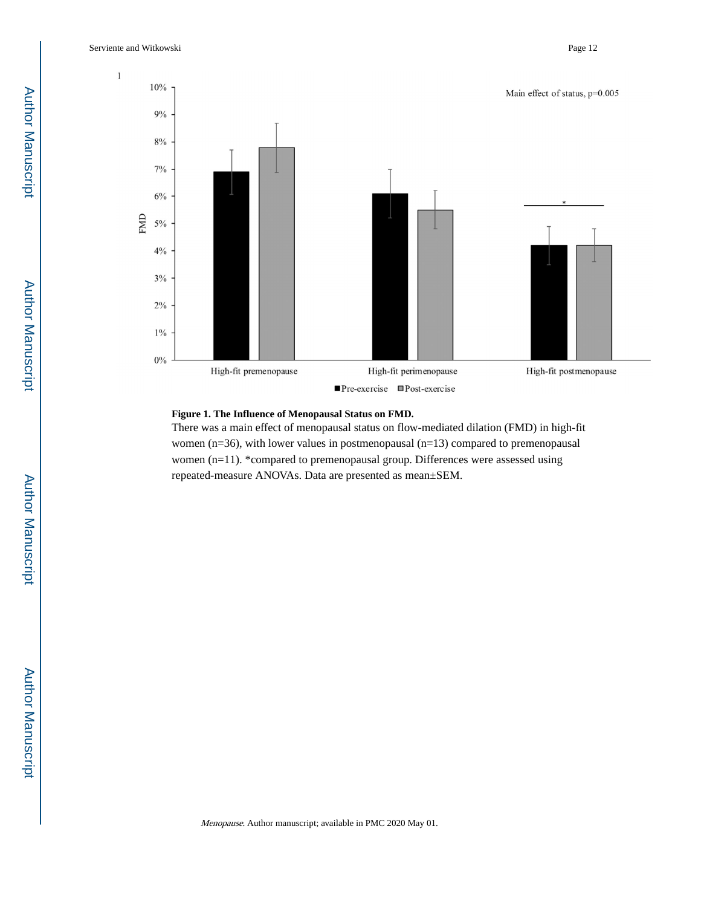

#### **Figure 1. The Influence of Menopausal Status on FMD.**

There was a main effect of menopausal status on flow-mediated dilation (FMD) in high-fit women (n=36), with lower values in postmenopausal (n=13) compared to premenopausal women (n=11). \*compared to premenopausal group. Differences were assessed using repeated-measure ANOVAs. Data are presented as mean±SEM.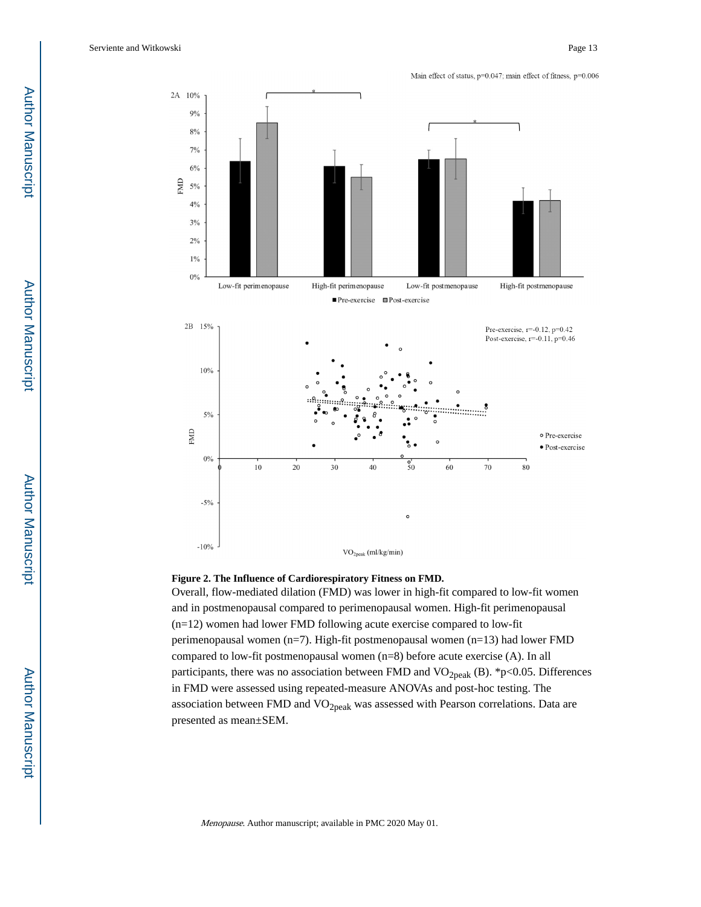Main effect of status, p=0.047; main effect of fitness, p=0.006



#### **Figure 2. The Influence of Cardiorespiratory Fitness on FMD.**

Overall, flow-mediated dilation (FMD) was lower in high-fit compared to low-fit women and in postmenopausal compared to perimenopausal women. High-fit perimenopausal (n=12) women had lower FMD following acute exercise compared to low-fit perimenopausal women (n=7). High-fit postmenopausal women (n=13) had lower FMD compared to low-fit postmenopausal women (n=8) before acute exercise (A). In all participants, there was no association between FMD and VO<sub>2peak</sub> (B). \*p<0.05. Differences in FMD were assessed using repeated-measure ANOVAs and post-hoc testing. The association between FMD and  $VO<sub>2peak</sub>$  was assessed with Pearson correlations. Data are presented as mean±SEM.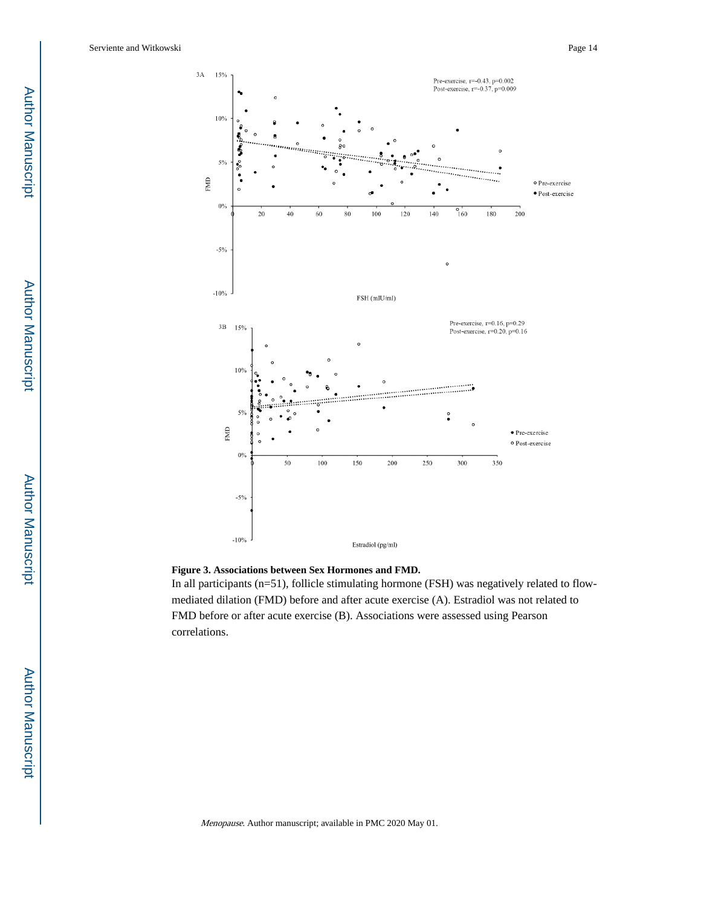

#### **Figure 3. Associations between Sex Hormones and FMD.**

In all participants (n=51), follicle stimulating hormone (FSH) was negatively related to flowmediated dilation (FMD) before and after acute exercise (A). Estradiol was not related to FMD before or after acute exercise (B). Associations were assessed using Pearson correlations.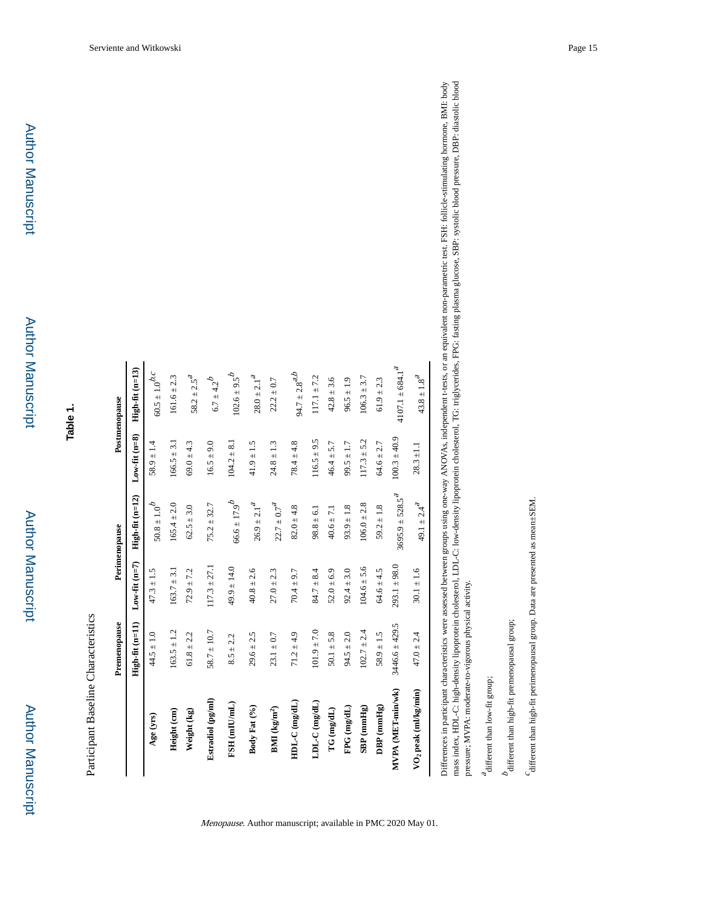| ľ |
|---|
|   |
|   |
|   |
|   |
|   |
|   |
|   |
|   |
|   |
|   |
|   |
|   |
|   |
|   |
|   |
|   |
|   |
|   |
|   |
|   |
|   |
|   |
|   |
|   |
|   |
|   |

Participant Baseline Characteristics Participant Baseline Characteristics

| $Low-fit (n=8)$<br>$100.3 \pm 40.9$<br>$116.5 \pm 9.5$<br>$117.3 \pm 5.2$<br>$166.5 \pm 3.1$<br>$104.2 \pm 8.1$<br>$16.5 \pm 9.0$<br>$78.4 \pm 4.8$<br>$58.9 \pm 1.4$<br>$69.0 \pm 4.3$<br>$41.9 \pm 1.5$<br>$24.8 \pm 1.3$<br>$46.4 \pm 5.7$<br>$99.5 \pm 1.7$<br>$64.6 \pm 2.7$<br>$28.3 \pm 1.1$<br>$High-fit (n=12)$<br>$3695.9 \pm 528.5^a$<br>$66.6 \pm 17.9^{b}$<br>$50.8\pm1.0^b$<br>49.1 $\pm$ 2.4 <sup>2</sup><br>$26.9 \pm 2.1^4$<br>$165.4 \pm 2.0$<br>$22.7 \pm 0.7^4$<br>$106.0 \pm 2.8$<br>$75.2 \pm 32.7$<br>$62.5 \pm 3.0$<br>$82.0 \pm 4.8$<br>$93.9 \pm 1.8$<br>$59.2 \pm 1.8$<br>$40.6 \pm 7.1$<br>$98.8 \pm 6.1$<br>Low-fit $(n=7)$<br>$293.1 \pm 98.0$<br>$117.3 \pm 27.1$<br>$104.6 \pm 5.6$<br>$49.9 \pm 14.0$<br>$163.7 \pm 3.1$<br>$92.4 \pm 3.0$<br>$64.6 \pm 4.5$<br>$72.9 \pm 7.2$<br>$40.8 \pm 2.6$<br>$30.1 \pm 1.6$<br>$47.3 \pm 1.5$<br>$27.0 \pm 2.3$<br>$70.4 \pm 9.7$<br>$84.7 \pm 8.4$<br>$52.0 \pm 6.9$<br>$High-fit (n=11)$<br>$3446.6 \pm 429.5$<br>$163.5 \pm 1.2$<br>$101.9 \pm 7.0$<br>$102.7 \pm 2.4$<br>$58.7 \pm 10.7$<br>$71.2 \pm 4.9$<br>$50.1 \pm 5.8$<br>$94.5 \pm 2.0$<br>$44.5 \pm 1.0$<br>$61.8 \pm 2.2$<br>$29.6 \pm 2.5$<br>$58.9 \pm 1.5$<br>$23.1 \pm 0.7$<br>$47.0 \pm 2.4$<br>$8.5 \pm 2.2$<br>VO <sub>2</sub> peak (ml/kg/min)<br>MVPA (MET-min/wk)<br>Estradiol (pg/ml)<br>$HDL-C$ (mg/dL)<br>$LDL-C$ (mg/dL)<br>$FSH$ (mIU/mL)<br>Body Fat (%)<br>$FPG$ (mg/dL)<br>$DBP$ (mmHg)<br>$SBP$ (mmHg)<br>$BMI$ (kg/m <sup>2</sup> )<br>$TG$ (mg/dL)<br>Height (cm)<br>Weight (kg)<br>Age (yrs) | Premenopause | Perimenopause | Postmenopause                   |
|---------------------------------------------------------------------------------------------------------------------------------------------------------------------------------------------------------------------------------------------------------------------------------------------------------------------------------------------------------------------------------------------------------------------------------------------------------------------------------------------------------------------------------------------------------------------------------------------------------------------------------------------------------------------------------------------------------------------------------------------------------------------------------------------------------------------------------------------------------------------------------------------------------------------------------------------------------------------------------------------------------------------------------------------------------------------------------------------------------------------------------------------------------------------------------------------------------------------------------------------------------------------------------------------------------------------------------------------------------------------------------------------------------------------------------------------------------------------------------------------------------------------------------------------------------|--------------|---------------|---------------------------------|
|                                                                                                                                                                                                                                                                                                                                                                                                                                                                                                                                                                                                                                                                                                                                                                                                                                                                                                                                                                                                                                                                                                                                                                                                                                                                                                                                                                                                                                                                                                                                                         |              |               | $High-fit (n=13)$               |
|                                                                                                                                                                                                                                                                                                                                                                                                                                                                                                                                                                                                                                                                                                                                                                                                                                                                                                                                                                                                                                                                                                                                                                                                                                                                                                                                                                                                                                                                                                                                                         |              |               | $60.5 \pm 1.0^{b,c}$            |
|                                                                                                                                                                                                                                                                                                                                                                                                                                                                                                                                                                                                                                                                                                                                                                                                                                                                                                                                                                                                                                                                                                                                                                                                                                                                                                                                                                                                                                                                                                                                                         |              |               | $161.6 \pm 2.3$                 |
|                                                                                                                                                                                                                                                                                                                                                                                                                                                                                                                                                                                                                                                                                                                                                                                                                                                                                                                                                                                                                                                                                                                                                                                                                                                                                                                                                                                                                                                                                                                                                         |              |               | $58.2 \pm 2.5^{\textit{a}}$     |
|                                                                                                                                                                                                                                                                                                                                                                                                                                                                                                                                                                                                                                                                                                                                                                                                                                                                                                                                                                                                                                                                                                                                                                                                                                                                                                                                                                                                                                                                                                                                                         |              |               | $6.7 \pm 4.2^{b}$               |
|                                                                                                                                                                                                                                                                                                                                                                                                                                                                                                                                                                                                                                                                                                                                                                                                                                                                                                                                                                                                                                                                                                                                                                                                                                                                                                                                                                                                                                                                                                                                                         |              |               | $102.6 \pm 9.5^{b}$             |
|                                                                                                                                                                                                                                                                                                                                                                                                                                                                                                                                                                                                                                                                                                                                                                                                                                                                                                                                                                                                                                                                                                                                                                                                                                                                                                                                                                                                                                                                                                                                                         |              |               | $28.0 \pm 2.1^{4}$              |
|                                                                                                                                                                                                                                                                                                                                                                                                                                                                                                                                                                                                                                                                                                                                                                                                                                                                                                                                                                                                                                                                                                                                                                                                                                                                                                                                                                                                                                                                                                                                                         |              |               | $22.2 \pm 0.7$                  |
|                                                                                                                                                                                                                                                                                                                                                                                                                                                                                                                                                                                                                                                                                                                                                                                                                                                                                                                                                                                                                                                                                                                                                                                                                                                                                                                                                                                                                                                                                                                                                         |              |               | 94.7 $\pm 2.8^{a,b}$            |
|                                                                                                                                                                                                                                                                                                                                                                                                                                                                                                                                                                                                                                                                                                                                                                                                                                                                                                                                                                                                                                                                                                                                                                                                                                                                                                                                                                                                                                                                                                                                                         |              |               | $117.1 \pm 7.2$                 |
|                                                                                                                                                                                                                                                                                                                                                                                                                                                                                                                                                                                                                                                                                                                                                                                                                                                                                                                                                                                                                                                                                                                                                                                                                                                                                                                                                                                                                                                                                                                                                         |              |               | $42.8 \pm 3.6$                  |
|                                                                                                                                                                                                                                                                                                                                                                                                                                                                                                                                                                                                                                                                                                                                                                                                                                                                                                                                                                                                                                                                                                                                                                                                                                                                                                                                                                                                                                                                                                                                                         |              |               | $96.5 \pm 1.9$                  |
|                                                                                                                                                                                                                                                                                                                                                                                                                                                                                                                                                                                                                                                                                                                                                                                                                                                                                                                                                                                                                                                                                                                                                                                                                                                                                                                                                                                                                                                                                                                                                         |              |               | $106.3 \pm 3.7$                 |
|                                                                                                                                                                                                                                                                                                                                                                                                                                                                                                                                                                                                                                                                                                                                                                                                                                                                                                                                                                                                                                                                                                                                                                                                                                                                                                                                                                                                                                                                                                                                                         |              |               | $61.9 \pm 2.3$                  |
|                                                                                                                                                                                                                                                                                                                                                                                                                                                                                                                                                                                                                                                                                                                                                                                                                                                                                                                                                                                                                                                                                                                                                                                                                                                                                                                                                                                                                                                                                                                                                         |              |               | $4107.1 \pm 684.1^{\textit{a}}$ |
|                                                                                                                                                                                                                                                                                                                                                                                                                                                                                                                                                                                                                                                                                                                                                                                                                                                                                                                                                                                                                                                                                                                                                                                                                                                                                                                                                                                                                                                                                                                                                         |              |               | $43.8 \pm 1.8^{4}$              |

Menopause. Author manuscript; available in PMC 2020 May 01.

mass index, HDL-C: high-density lipoprotein cholesterol, LDL-C: low-density lipoprotein cholesterol, TG: triglycerides, FPG: fasting plasma glucose, SBP: systolic blood pressure, DBP: diastolic blood mass index, HDL-C: high-density lipoprotein cholesterol, LDL-C: low-density lipoprotein cholesterol, TG: triglycerides, FPG: fasting plasma glucose, SBP: systolic blood pressure, DBP: diastolic blood Differences in participant characteristics were assessed between groups using one-way ANOVAs, independent t-tests, or an equivalent non-parametric test. FSH: follicle-stimulating hormone, BMI: body Differences in participant characteristics were assessed between groups using one-way ANOVAs, independent t-tests, or an equivalent non-parametric test. FSH: follicle-stimulating hormone, BMI: body pressure; MVPA: moderate-to-vigorous physical activity. pressure; MVPA: moderate-to-vigorous physical activity.

 $^{\,a}$  different than low-fit group; different than low-fit group;

 $b$  different than high-fit premeno<br>pausal group;  $% \left\vert \phi _{j}\right\rangle$ different than high-fit premenopausal group;

different than high-fit perimenopausal group. Data are presented as mean±SEM. different than high-fit perimenopausal group. Data are presented as mean±SEM.